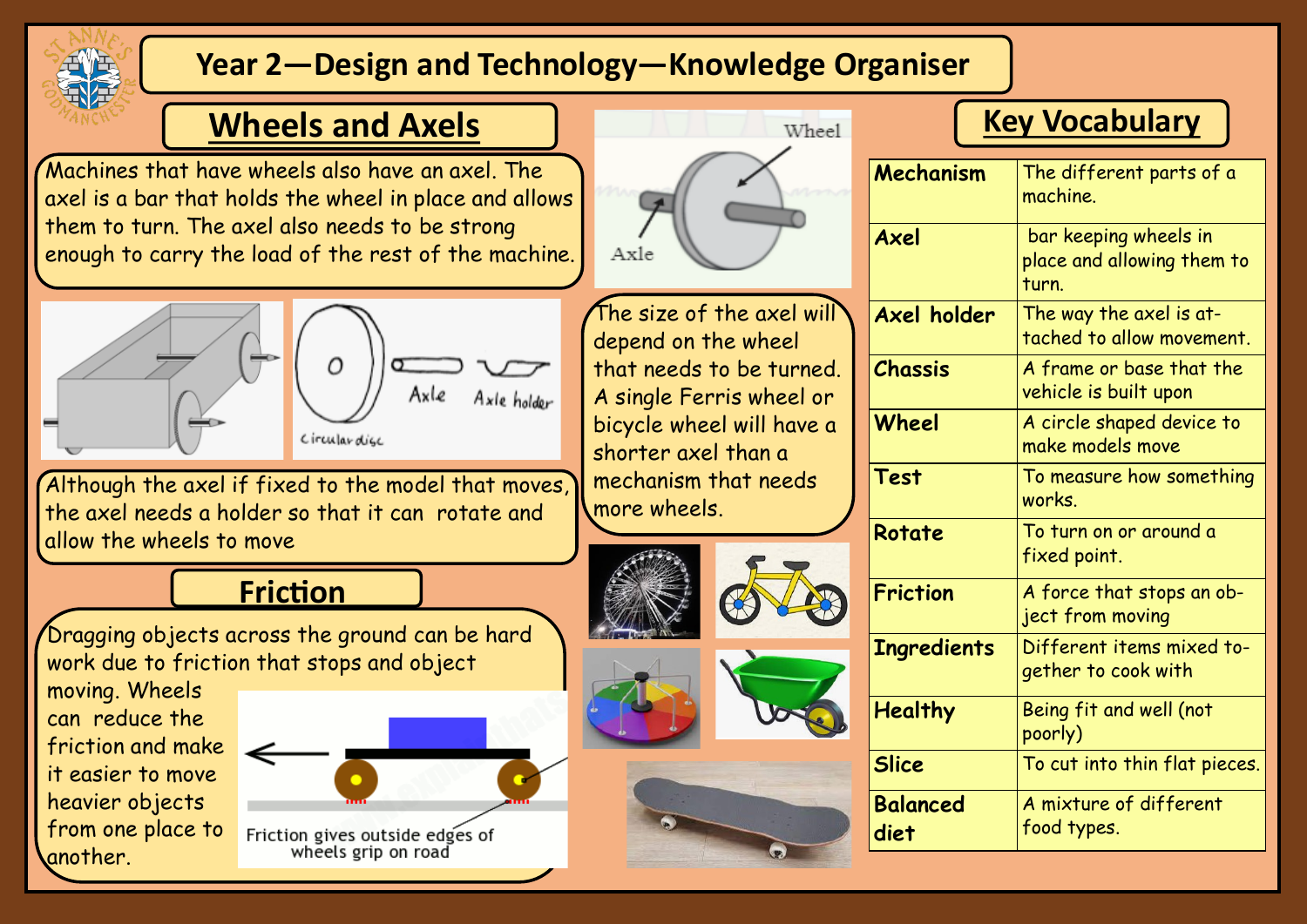